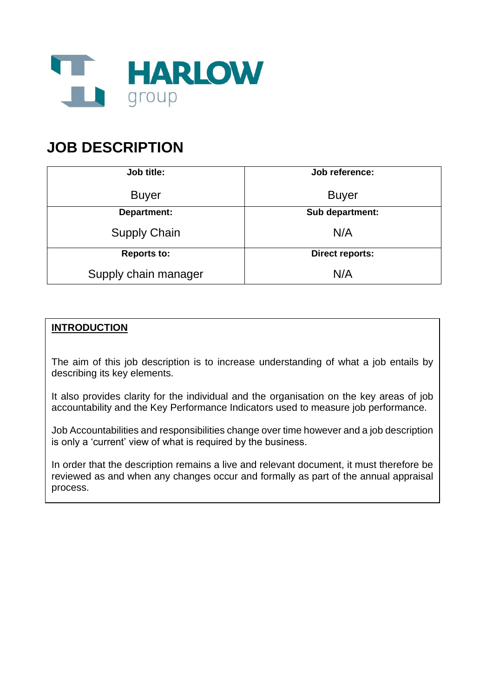

# **JOB DESCRIPTION**

| Job title:           | Job reference:         |
|----------------------|------------------------|
|                      |                        |
| <b>Buyer</b>         | <b>Buyer</b>           |
|                      |                        |
| Department:          | Sub department:        |
|                      |                        |
| <b>Supply Chain</b>  | N/A                    |
|                      |                        |
| <b>Reports to:</b>   | <b>Direct reports:</b> |
|                      |                        |
| Supply chain manager | N/A                    |
|                      |                        |

## **INTRODUCTION**

The aim of this job description is to increase understanding of what a job entails by describing its key elements.

It also provides clarity for the individual and the organisation on the key areas of job accountability and the Key Performance Indicators used to measure job performance.

Job Accountabilities and responsibilities change over time however and a job description is only a 'current' view of what is required by the business.

In order that the description remains a live and relevant document, it must therefore be reviewed as and when any changes occur and formally as part of the annual appraisal process.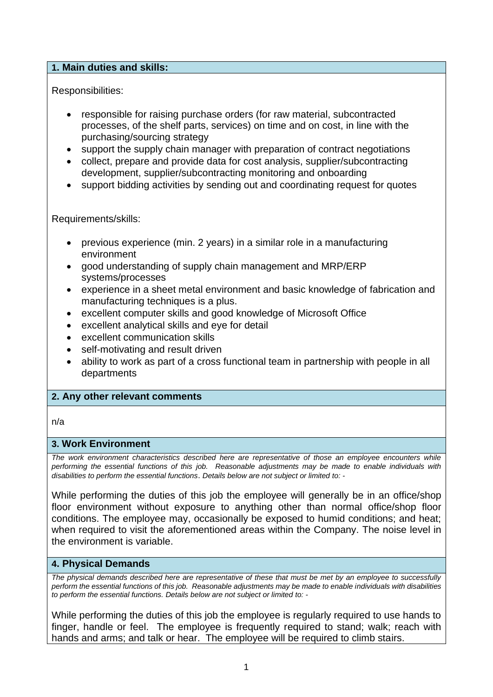## **1. Main duties and skills:**

Responsibilities:

- responsible for raising purchase orders (for raw material, subcontracted processes, of the shelf parts, services) on time and on cost, in line with the purchasing/sourcing strategy
- support the supply chain manager with preparation of contract negotiations
- collect, prepare and provide data for cost analysis, supplier/subcontracting development, supplier/subcontracting monitoring and onboarding
- support bidding activities by sending out and coordinating request for quotes

Requirements/skills:

- previous experience (min. 2 years) in a similar role in a manufacturing environment
- good understanding of supply chain management and MRP/ERP systems/processes
- experience in a sheet metal environment and basic knowledge of fabrication and manufacturing techniques is a plus.
- excellent computer skills and good knowledge of Microsoft Office
- excellent analytical skills and eye for detail
- excellent communication skills
- self-motivating and result driven
- ability to work as part of a cross functional team in partnership with people in all departments

## **2. Any other relevant comments**

n/a

### **3. Work Environment**

*The work environment characteristics described here are representative of those an employee encounters while performing the essential functions of this job. Reasonable adjustments may be made to enable individuals with disabilities to perform the essential functions*. *Details below are not subject or limited to: -*

While performing the duties of this job the employee will generally be in an office/shop floor environment without exposure to anything other than normal office/shop floor conditions. The employee may, occasionally be exposed to humid conditions; and heat; when required to visit the aforementioned areas within the Company. The noise level in the environment is variable.

### **4. Physical Demands**

*The physical demands described here are representative of these that must be met by an employee to successfully perform the essential functions of this job. Reasonable adjustments may be made to enable individuals with disabilities to perform the essential functions. Details below are not subject or limited to: -*

While performing the duties of this job the employee is regularly required to use hands to finger, handle or feel. The employee is frequently required to stand; walk; reach with hands and arms; and talk or hear. The employee will be required to climb stairs.